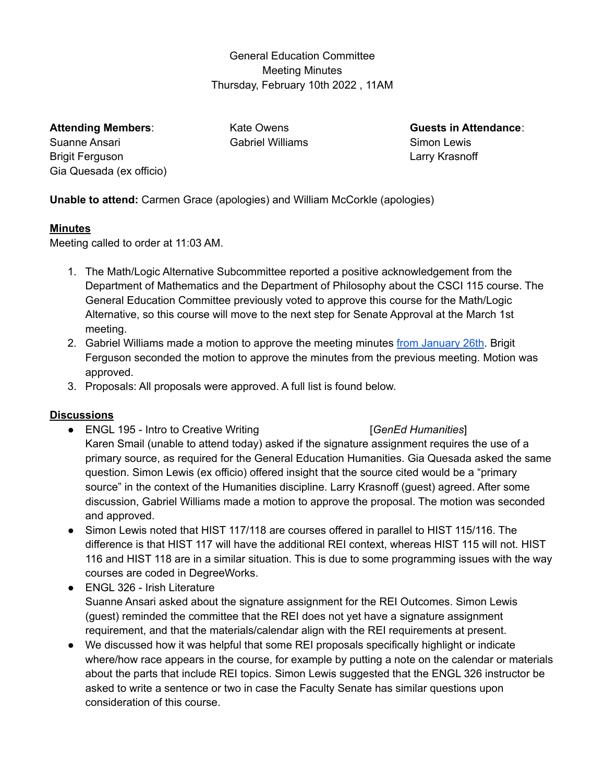General Education Committee Meeting Minutes Thursday, February 10th 2022 , 11AM

**Attending Members**: Suanne Ansari Brigit Ferguson Gia Quesada (ex officio) Kate Owens Gabriel Williams **Guests in Attendance**: Simon Lewis Larry Krasnoff

**Unable to attend:** Carmen Grace (apologies) and William McCorkle (apologies)

## **Minutes**

Meeting called to order at 11:03 AM.

- 1. The Math/Logic Alternative Subcommittee reported a positive acknowledgement from the Department of Mathematics and the Department of Philosophy about the CSCI 115 course. The General Education Committee previously voted to approve this course for the Math/Logic Alternative, so this course will move to the next step for Senate Approval at the March 1st meeting.
- 2. Gabriel Williams made a motion to approve the meeting minutes from [January](https://docs.google.com/document/d/1H-3mKuSrZ6lDMrZQ23Ryrtho0qjDaGpRSvx_S4Z0Kk/edit) 26th. Brigit Ferguson seconded the motion to approve the minutes from the previous meeting. Motion was approved.
- 3. Proposals: All proposals were approved. A full list is found below.

# **Discussions**

- ENGL 195 Intro to Creative Writing [*GenEd Humanities*] Karen Smail (unable to attend today) asked if the signature assignment requires the use of a primary source, as required for the General Education Humanities. Gia Quesada asked the same question. Simon Lewis (ex officio) offered insight that the source cited would be a "primary source" in the context of the Humanities discipline. Larry Krasnoff (guest) agreed. After some discussion, Gabriel Williams made a motion to approve the proposal. The motion was seconded and approved.
- Simon Lewis noted that HIST 117/118 are courses offered in parallel to HIST 115/116. The difference is that HIST 117 will have the additional REI context, whereas HIST 115 will not. HIST 116 and HIST 118 are in a similar situation. This is due to some programming issues with the way courses are coded in DegreeWorks.
- ENGL 326 Irish Literature Suanne Ansari asked about the signature assignment for the REI Outcomes. Simon Lewis (guest) reminded the committee that the REI does not yet have a signature assignment requirement, and that the materials/calendar align with the REI requirements at present.
- We discussed how it was helpful that some REI proposals specifically highlight or indicate where/how race appears in the course, for example by putting a note on the calendar or materials about the parts that include REI topics. Simon Lewis suggested that the ENGL 326 instructor be asked to write a sentence or two in case the Faculty Senate has similar questions upon consideration of this course.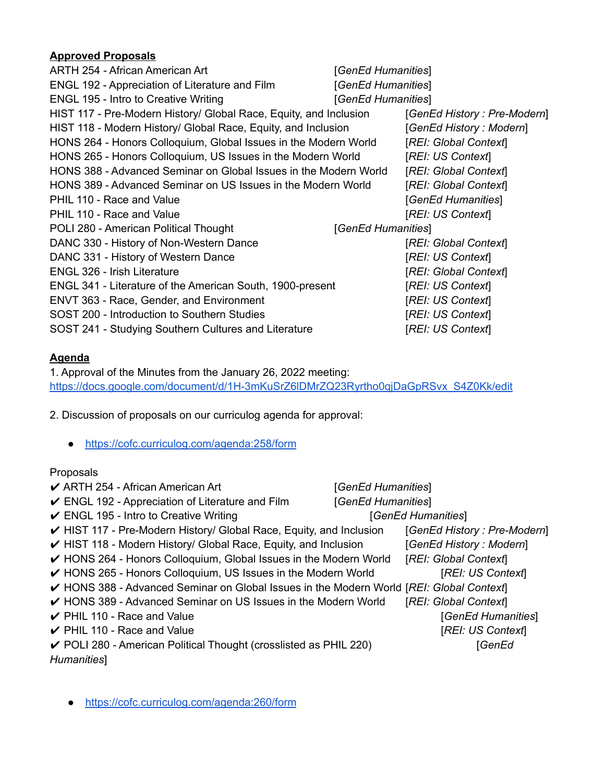# **Approved Proposals**

| ARTH 254 - African American Art                                   | [GenEd Humanities] |                             |
|-------------------------------------------------------------------|--------------------|-----------------------------|
| ENGL 192 - Appreciation of Literature and Film                    | [GenEd Humanities] |                             |
| <b>ENGL 195 - Intro to Creative Writing</b>                       | [GenEd Humanities] |                             |
| HIST 117 - Pre-Modern History/ Global Race, Equity, and Inclusion |                    | [GenEd History: Pre-Modern] |
| HIST 118 - Modern History/ Global Race, Equity, and Inclusion     |                    | [GenEd History: Modern]     |
| HONS 264 - Honors Colloquium, Global Issues in the Modern World   |                    | [REI: Global Context]       |
| HONS 265 - Honors Colloquium, US Issues in the Modern World       |                    | [REI: US Context]           |
| HONS 388 - Advanced Seminar on Global Issues in the Modern World  |                    | [REI: Global Context]       |
| HONS 389 - Advanced Seminar on US Issues in the Modern World      |                    | [REI: Global Context]       |
| PHIL 110 - Race and Value                                         |                    | [GenEd Humanities]          |
| PHIL 110 - Race and Value                                         |                    | [REI: US Context]           |
| POLI 280 - American Political Thought                             | [GenEd Humanities] |                             |
| DANC 330 - History of Non-Western Dance                           |                    | [REI: Global Context]       |
| DANC 331 - History of Western Dance                               |                    | [REI: US Context]           |
| <b>ENGL 326 - Irish Literature</b>                                |                    | [REI: Global Context]       |
| ENGL 341 - Literature of the American South, 1900-present         |                    | [REI: US Context]           |
| ENVT 363 - Race, Gender, and Environment                          |                    | [REI: US Context]           |
| SOST 200 - Introduction to Southern Studies                       |                    | [REI: US Context]           |
| SOST 241 - Studying Southern Cultures and Literature              |                    | [REI: US Context]           |
|                                                                   |                    |                             |

# **Agenda**

1. Approval of the Minutes from the January 26, 2022 meeting: [https://docs.google.com/document/d/1H-3mKuSrZ6lDMrZQ23Ryrtho0qjDaGpRSvx\\_S4Z0Kk/edit](https://docs.google.com/document/d/1H-3mKuSrZ6lDMrZQ23Ryrtho0qjDaGpRSvx_S4Z0Kk/edit)

2. Discussion of proposals on our curriculog agenda for approval:

● <https://cofc.curriculog.com/agenda:258/form>

# Proposals

| $\triangleright$ ARTH 254 - African American Art                                         | [GenEd Humanities] |                             |  |
|------------------------------------------------------------------------------------------|--------------------|-----------------------------|--|
| $\vee$ ENGL 192 - Appreciation of Literature and Film                                    | [GenEd Humanities] |                             |  |
| $\vee$ ENGL 195 - Intro to Creative Writing                                              |                    | [GenEd Humanities]          |  |
| ✔ HIST 117 - Pre-Modern History/ Global Race, Equity, and Inclusion                      |                    | [GenEd History: Pre-Modern] |  |
| ✔ HIST 118 - Modern History/ Global Race, Equity, and Inclusion                          |                    | [GenEd History: Modern]     |  |
| ✔ HONS 264 - Honors Colloquium, Global Issues in the Modern World                        |                    | [REI: Global Context]       |  |
| ✔ HONS 265 - Honors Colloquium, US Issues in the Modern World                            |                    | [REI: US Context]           |  |
| ✔ HONS 388 - Advanced Seminar on Global Issues in the Modern World [REI: Global Context] |                    |                             |  |
| $\checkmark$ HONS 389 - Advanced Seminar on US Issues in the Modern World                |                    | [REI: Global Context]       |  |
| $\vee$ PHIL 110 - Race and Value                                                         |                    | [GenEd Humanities]          |  |
| $\vee$ PHIL 110 - Race and Value                                                         |                    | [REI: US Context]           |  |
| $\triangleright$ POLI 280 - American Political Thought (crosslisted as PHIL 220)         |                    | [GenEd                      |  |
| Humanities]                                                                              |                    |                             |  |
|                                                                                          |                    |                             |  |

● <https://cofc.curriculog.com/agenda:260/form>